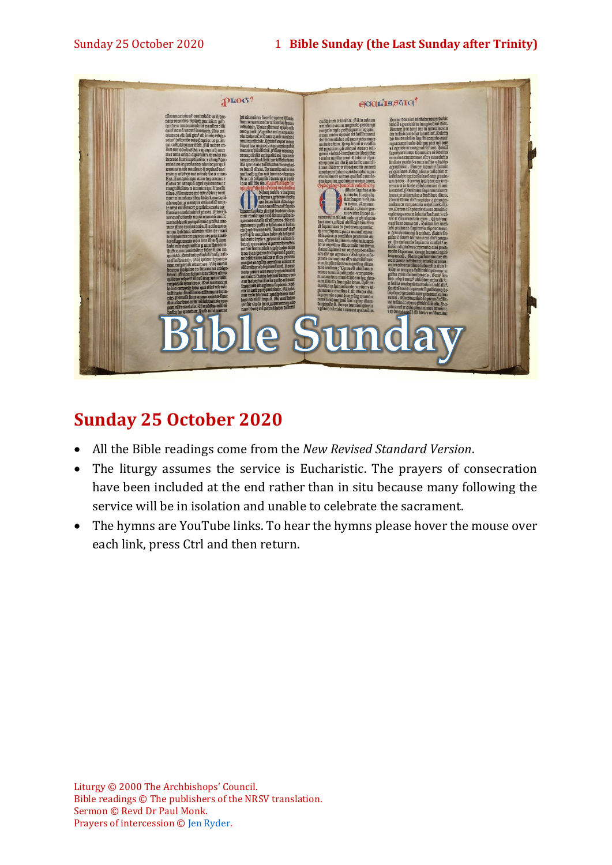

# **Sunday 25 October 2020**

- All the Bible readings come from the *New Revised Standard Version*.
- The liturgy assumes the service is Eucharistic. The prayers of consecration have been included at the end rather than in situ because many following the service will be in isolation and unable to celebrate the sacrament.
- The hymns are YouTube links. To hear the hymns please hover the mouse over each link, press Ctrl and then return.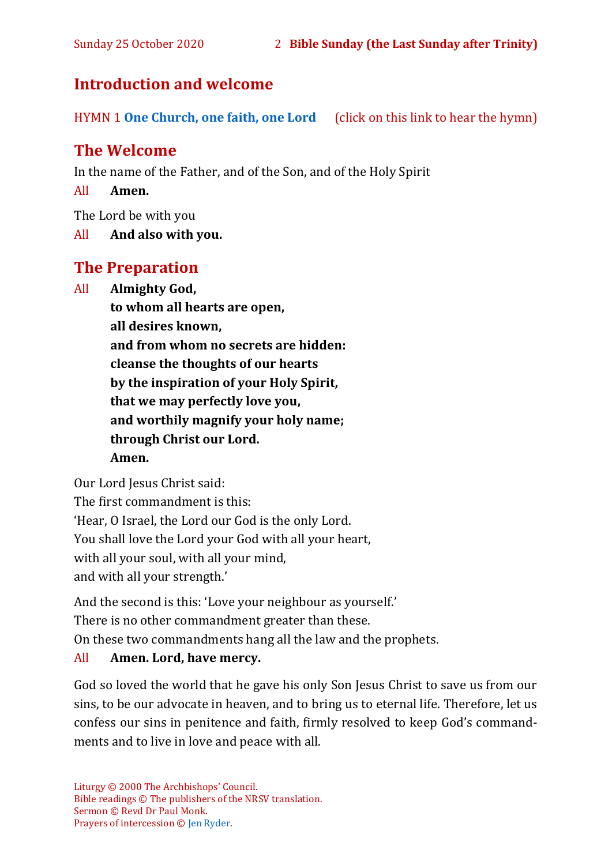## **Introduction and welcome**

HYMN 1 **[One Church, one faith, one Lord](https://www.youtube.com/watch?v=esJ7WWqG-dI&t=28s)** (click on this link to hear the hymn)

# **The Welcome**

In the name of the Father, and of the Son, and of the Holy Spirit

All **Amen.**

The Lord be with you

All **And also with you.**

## **The Preparation**

All **Almighty God,**

**to whom all hearts are open, all desires known, and from whom no secrets are hidden: cleanse the thoughts of our hearts by the inspiration of your Holy Spirit, that we may perfectly love you, and worthily magnify your holy name; through Christ our Lord. Amen.**

Our Lord Jesus Christ said:

The first commandment is this: 'Hear, O Israel, the Lord our God is the only Lord. You shall love the Lord your God with all your heart, with all your soul, with all your mind, and with all your strength.'

And the second is this: 'Love your neighbour as yourself.'

There is no other commandment greater than these.

On these two commandments hang all the law and the prophets.

#### All **Amen. Lord, have mercy.**

God so loved the world that he gave his only Son Jesus Christ to save us from our sins, to be our advocate in heaven, and to bring us to eternal life. Therefore, let us confess our sins in penitence and faith, firmly resolved to keep God's commandments and to live in love and peace with all.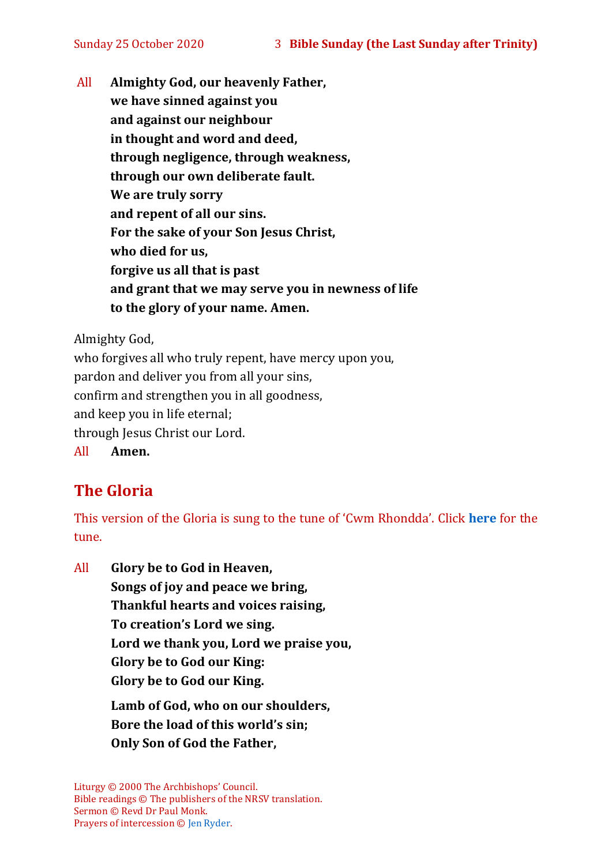All **Almighty God, our heavenly Father, we have sinned against you and against our neighbour in thought and word and deed, through negligence, through weakness, through our own deliberate fault. We are truly sorry and repent of all our sins. For the sake of your Son Jesus Christ, who died for us, forgive us all that is past and grant that we may serve you in newness of life to the glory of your name. Amen.**

Almighty God,

who forgives all who truly repent, have mercy upon you, pardon and deliver you from all your sins, confirm and strengthen you in all goodness, and keep you in life eternal; through Jesus Christ our Lord. All **Amen.**

# **The Gloria**

This version of the Gloria is sung to the tune of 'Cwm Rhondda'. Click **[here](about:blank)** for the tune.

All **Glory be to God in Heaven, Songs of joy and peace we bring, Thankful hearts and voices raising, To creation's Lord we sing. Lord we thank you, Lord we praise you, Glory be to God our King: Glory be to God our King. Lamb of God, who on our shoulders, Bore the load of this world's sin; Only Son of God the Father,**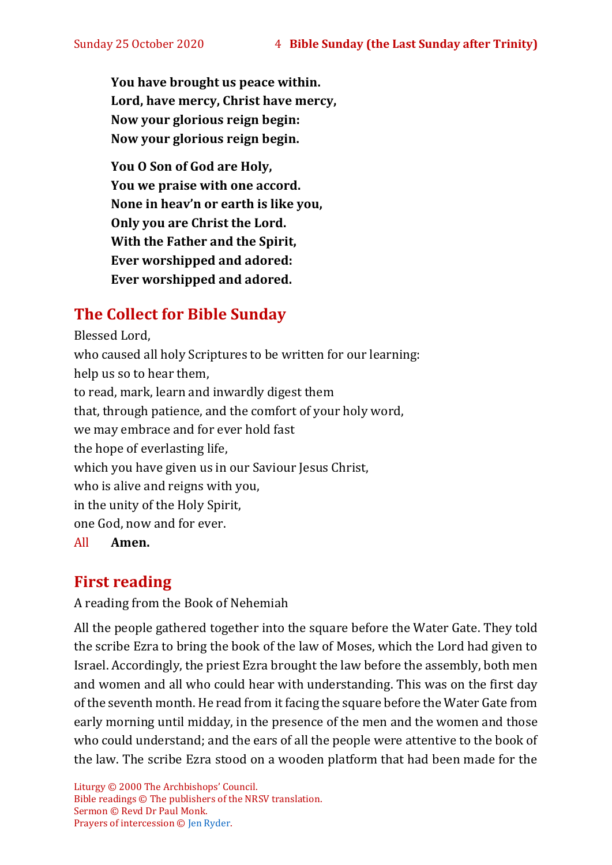**You have brought us peace within. Lord, have mercy, Christ have mercy, Now your glorious reign begin: Now your glorious reign begin.**

**You O Son of God are Holy, You we praise with one accord. None in heav'n or earth is like you, Only you are Christ the Lord. With the Father and the Spirit, Ever worshipped and adored: Ever worshipped and adored.**

# **The Collect for Bible Sunday**

Blessed Lord, who caused all holy Scriptures to be written for our learning: help us so to hear them, to read, mark, learn and inwardly digest them that, through patience, and the comfort of your holy word, we may embrace and for ever hold fast the hope of everlasting life, which you have given us in our Saviour Jesus Christ. who is alive and reigns with you, in the unity of the Holy Spirit, one God, now and for ever. All **Amen.**

# **First reading**

A reading from the Book of Nehemiah

All the people gathered together into the square before the Water Gate. They told the scribe Ezra to bring the book of the law of Moses, which the Lord had given to Israel. Accordingly, the priest Ezra brought the law before the assembly, both men and women and all who could hear with understanding. This was on the first day of the seventh month. He read from it facing the square before the Water Gate from early morning until midday, in the presence of the men and the women and those who could understand; and the ears of all the people were attentive to the book of the law. The scribe Ezra stood on a wooden platform that had been made for the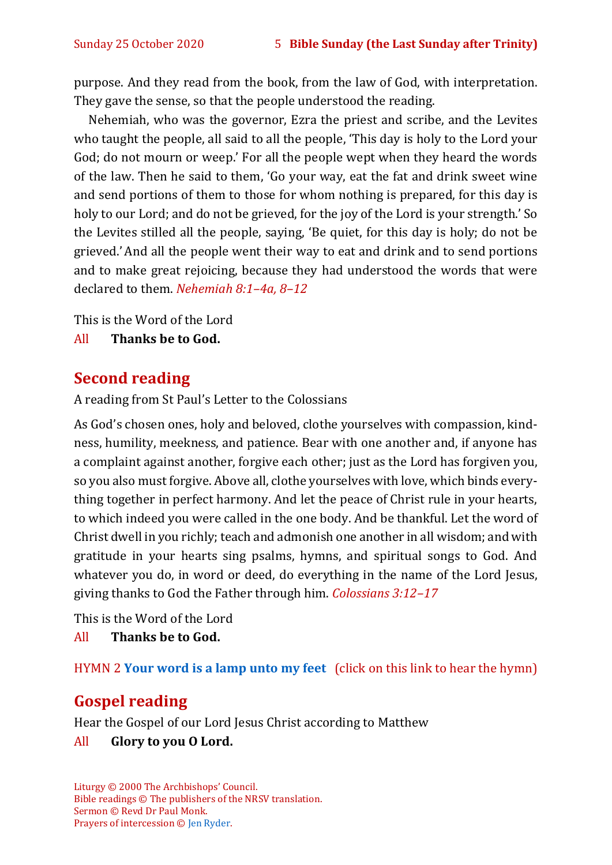purpose. And they read from the book, from the law of God, with interpretation. They gave the sense, so that the people understood the reading.

Nehemiah, who was the governor, Ezra the priest and scribe, and the Levites who taught the people, all said to all the people, 'This day is holy to the Lord your God; do not mourn or weep.' For all the people wept when they heard the words of the law. Then he said to them, 'Go your way, eat the fat and drink sweet wine and send portions of them to those for whom nothing is prepared, for this day is holy to our Lord; and do not be grieved, for the joy of the Lord is your strength.' So the Levites stilled all the people, saying, 'Be quiet, for this day is holy; do not be grieved.'And all the people went their way to eat and drink and to send portions and to make great rejoicing, because they had understood the words that were declared to them. *Nehemiah 8:1–4a, 8–12*

This is the Word of the Lord

All **Thanks be to God.**

# **Second reading**

A reading from St Paul's Letter to the Colossians

As God's chosen ones, holy and beloved, clothe yourselves with compassion, kindness, humility, meekness, and patience. Bear with one another and, if anyone has a complaint against another, forgive each other; just as the Lord has forgiven you, so you also must forgive. Above all, clothe yourselves with love, which binds everything together in perfect harmony. And let the peace of Christ rule in your hearts, to which indeed you were called in the one body. And be thankful. Let the word of Christ dwell in you richly; teach and admonish one another in all wisdom; and with gratitude in your hearts sing psalms, hymns, and spiritual songs to God. And whatever you do, in word or deed, do everything in the name of the Lord Jesus, giving thanks to God the Father through him. *Colossians 3:12–17*

This is the Word of the Lord

All **Thanks be to God.**

HYMN 2 **[Your word is a lamp unto my feet](https://www.youtube.com/watch?v=npWJZwgmKMo)** (click on this link to hear the hymn)

# **Gospel reading**

Hear the Gospel of our Lord Jesus Christ according to Matthew

#### All **Glory to you O Lord.**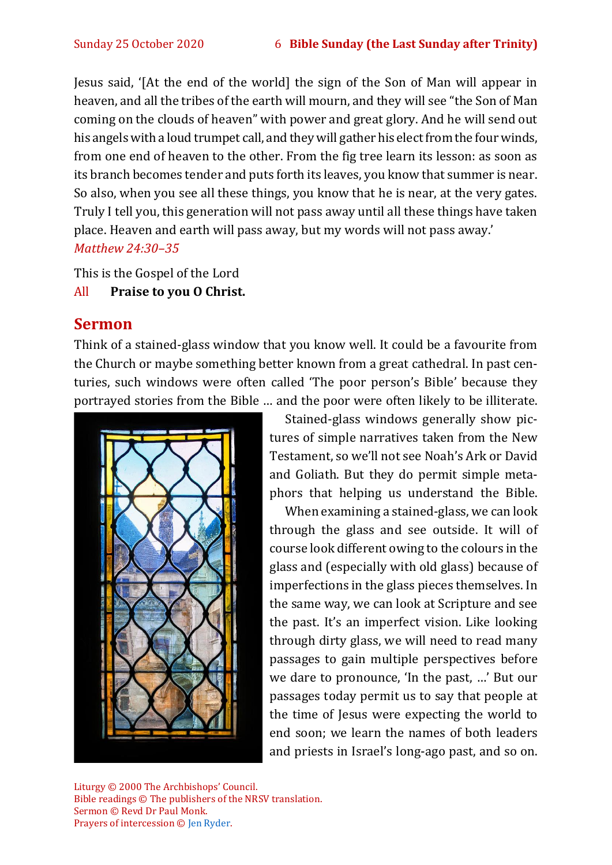Jesus said, '[At the end of the world] the sign of the Son of Man will appear in heaven, and all the tribes of the earth will mourn, and they will see "the Son of Man coming on the clouds of heaven" with power and great glory. And he will send out his angels with a loud trumpet call, and they will gather his elect from the four winds, from one end of heaven to the other. From the fig tree learn its lesson: as soon as its branch becomes tender and puts forth its leaves, you know that summer is near. So also, when you see all these things, you know that he is near, at the very gates. Truly I tell you, this generation will not pass away until all these things have taken place. Heaven and earth will pass away, but my words will not pass away.' *Matthew 24:30–35*

This is the Gospel of the Lord

#### All **Praise to you O Christ.**

## **Sermon**

Think of a stained-glass window that you know well. It could be a favourite from the Church or maybe something better known from a great cathedral. In past centuries, such windows were often called 'The poor person's Bible' because they portrayed stories from the Bible … and the poor were often likely to be illiterate.



Stained-glass windows generally show pictures of simple narratives taken from the New Testament, so we'll not see Noah's Ark or David and Goliath. But they do permit simple metaphors that helping us understand the Bible.

When examining a stained-glass, we can look through the glass and see outside. It will of course look different owing to the colours in the glass and (especially with old glass) because of imperfections in the glass pieces themselves. In the same way, we can look at Scripture and see the past. It's an imperfect vision. Like looking through dirty glass, we will need to read many passages to gain multiple perspectives before we dare to pronounce, 'In the past, …' But our passages today permit us to say that people at the time of Jesus were expecting the world to end soon; we learn the names of both leaders and priests in Israel's long-ago past, and so on.

Liturgy © 2000 The Archbishops' Council. Bible readings © The publishers of the NRSV translation. Sermon © Revd Dr Paul Monk. Prayers of intercession © [Jen Ryder.](http://jenryder.co.uk/20110521/prayers/bible-sunday/)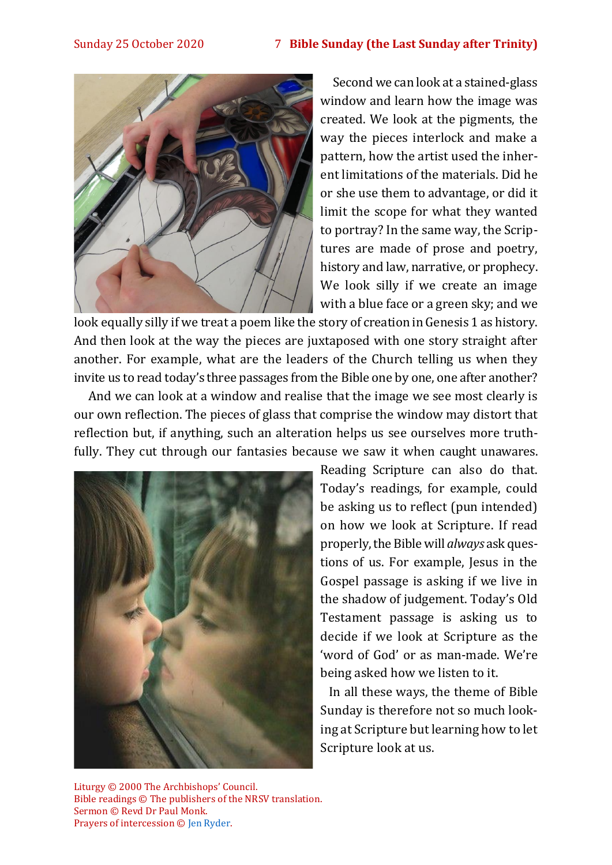

Second we can look at a stained-glass window and learn how the image was created. We look at the pigments, the way the pieces interlock and make a pattern, how the artist used the inherent limitations of the materials. Did he or she use them to advantage, or did it limit the scope for what they wanted to portray? In the same way, the Scriptures are made of prose and poetry, history and law, narrative, or prophecy. We look silly if we create an image with a blue face or a green sky; and we

look equally silly if we treat a poem like the story of creation in Genesis 1 as history. And then look at the way the pieces are juxtaposed with one story straight after another. For example, what are the leaders of the Church telling us when they invite us to read today's three passages from the Bible one by one, one after another?

And we can look at a window and realise that the image we see most clearly is our own reflection. The pieces of glass that comprise the window may distort that reflection but, if anything, such an alteration helps us see ourselves more truthfully. They cut through our fantasies because we saw it when caught unawares.



Reading Scripture can also do that. Today's readings, for example, could be asking us to reflect (pun intended) on how we look at Scripture. If read properly,the Biblewill *always* ask questions of us. For example, Jesus in the Gospel passage is asking if we live in the shadow of judgement. Today's Old Testament passage is asking us to decide if we look at Scripture as the 'word of God' or as man-made. We're being asked how we listen to it.

In all these ways, the theme of Bible Sunday is therefore not so much looking at Scripture but learning how to let Scripture look at us.

Liturgy © 2000 The Archbishops' Council. Bible readings © The publishers of the NRSV translation. Sermon © Revd Dr Paul Monk. Prayers of intercession © [Jen Ryder.](http://jenryder.co.uk/20110521/prayers/bible-sunday/)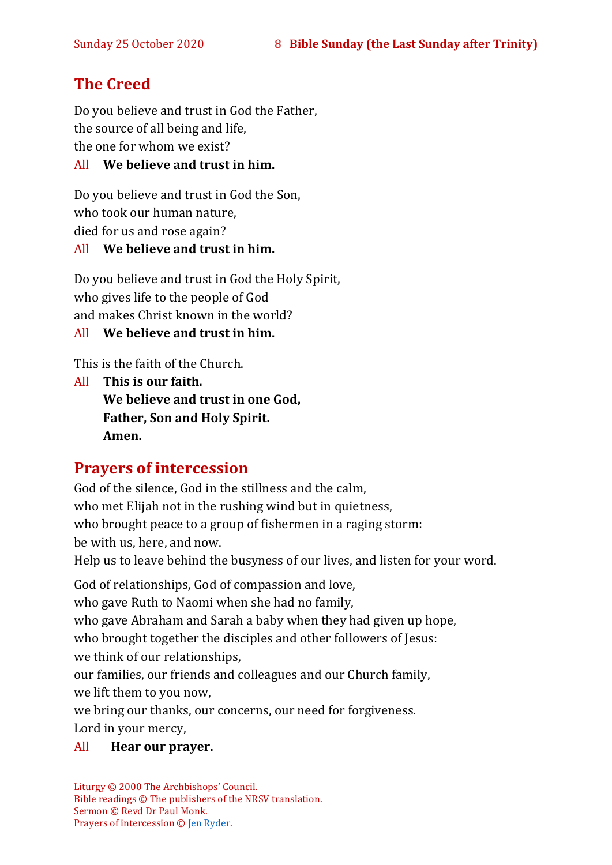# **The Creed**

Do you believe and trust in God the Father, the source of all being and life, the one for whom we exist?

#### All **We believe and trust in him.**

Do you believe and trust in God the Son, who took our human nature, died for us and rose again?

#### All **We believe and trust in him.**

Do you believe and trust in God the Holy Spirit, who gives life to the people of God and makes Christ known in the world?

All **We believe and trust in him.**

This is the faith of the Church.

All **This is our faith. We believe and trust in one God, Father, Son and Holy Spirit. Amen.**

# **Prayers of intercession**

God of the silence, God in the stillness and the calm, who met Elijah not in the rushing wind but in quietness, who brought peace to a group of fishermen in a raging storm: be with us, here, and now. Help us to leave behind the busyness of our lives, and listen for your word.

God of relationships, God of compassion and love, who gave Ruth to Naomi when she had no family, who gave Abraham and Sarah a baby when they had given up hope, who brought together the disciples and other followers of Jesus: we think of our relationships,

our families, our friends and colleagues and our Church family, we lift them to you now,

we bring our thanks, our concerns, our need for forgiveness.

Lord in your mercy,

#### All **Hear our prayer.**

Liturgy © 2000 The Archbishops' Council. Bible readings © The publishers of the NRSV translation. Sermon © Revd Dr Paul Monk. Prayers of intercession © [Jen Ryder.](http://jenryder.co.uk/20110521/prayers/bible-sunday/)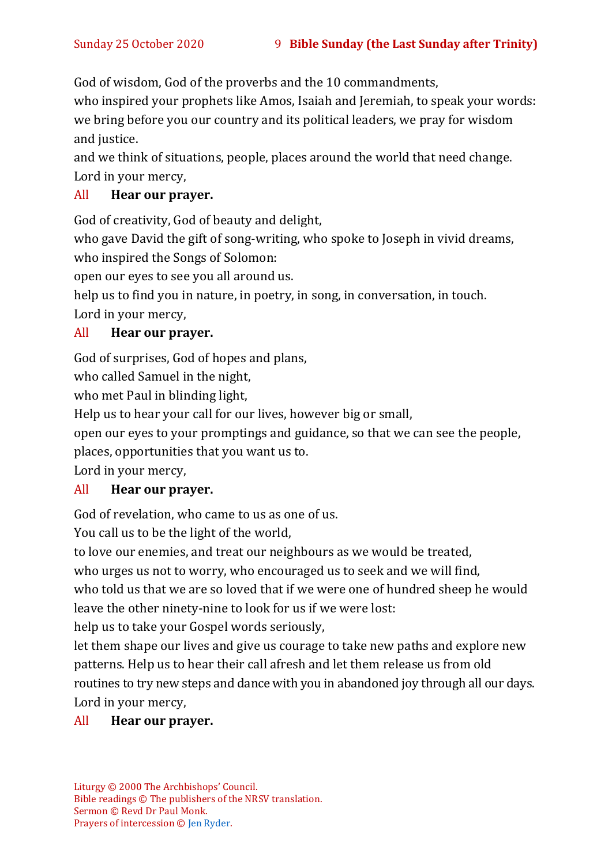God of wisdom, God of the proverbs and the 10 commandments,

who inspired your prophets like Amos, Isaiah and Jeremiah, to speak your words: we bring before you our country and its political leaders, we pray for wisdom and justice.

and we think of situations, people, places around the world that need change. Lord in your mercy,

#### All **Hear our prayer.**

God of creativity, God of beauty and delight,

who gave David the gift of song-writing, who spoke to Joseph in vivid dreams, who inspired the Songs of Solomon:

open our eyes to see you all around us.

help us to find you in nature, in poetry, in song, in conversation, in touch.

Lord in your mercy,

#### All **Hear our prayer.**

God of surprises, God of hopes and plans,

who called Samuel in the night,

who met Paul in blinding light,

Help us to hear your call for our lives, however big or small,

open our eyes to your promptings and guidance, so that we can see the people,

places, opportunities that you want us to.

Lord in your mercy,

#### All **Hear our prayer.**

God of revelation, who came to us as one of us.

You call us to be the light of the world,

to love our enemies, and treat our neighbours as we would be treated,

who urges us not to worry, who encouraged us to seek and we will find,

who told us that we are so loved that if we were one of hundred sheep he would leave the other ninety-nine to look for us if we were lost:

help us to take your Gospel words seriously,

let them shape our lives and give us courage to take new paths and explore new patterns. Help us to hear their call afresh and let them release us from old routines to try new steps and dance with you in abandoned joy through all our days. Lord in your mercy,

#### All **Hear our prayer.**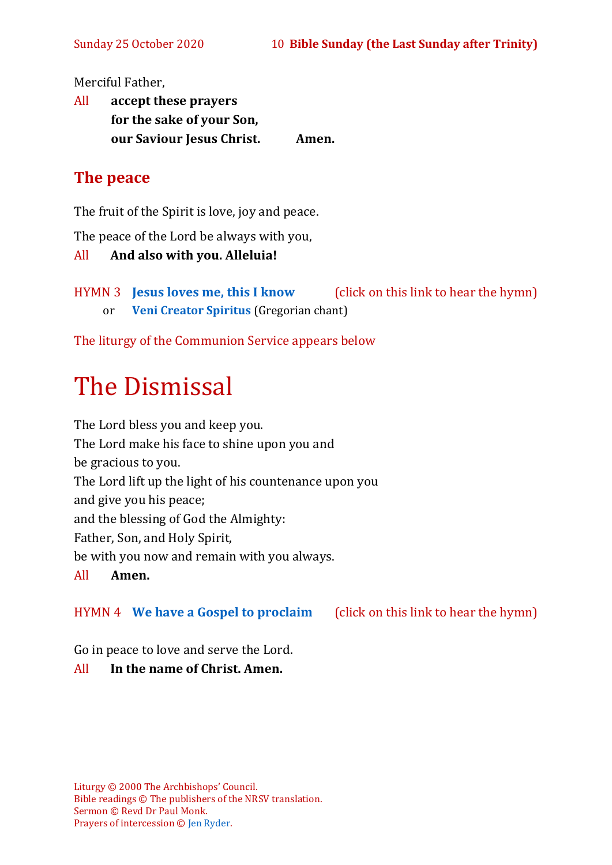Merciful Father,

All **accept these prayers for the sake of your Son, our Saviour Jesus Christ. Amen.**

# **The peace**

The fruit of the Spirit is love, joy and peace.

The peace of the Lord be always with you,

```
All And also with you. Alleluia!
```
HYMN 3 **[Jesus loves me, this I know](https://www.youtube.com/watch?v=L0NkzLLNPmA&feature=youtu.be)** (click on this link to hear the hymn) or **[Veni Creator Spiritus](https://www.youtube.com/watch?v=HEKuxUOPzk8&t=22s)** (Gregorian chant)

The liturgy of the Communion Service appears below

# The Dismissal

The Lord bless you and keep you. The Lord make his face to shine upon you and be gracious to you. The Lord lift up the light of his countenance upon you and give you his peace; and the blessing of God the Almighty: Father, Son, and Holy Spirit, be with you now and remain with you always. All **Amen.**

HYMN 4 **[We have a Gospel to proclaim](https://www.youtube.com/watch?v=E-SPYAgCtkw)** (click on this link to hear the hymn)

Go in peace to love and serve the Lord.

#### All **In the name of Christ. Amen.**

Liturgy © 2000 The Archbishops' Council. Bible readings © The publishers of the NRSV translation. Sermon © Revd Dr Paul Monk. Prayers of intercession © [Jen Ryder.](http://jenryder.co.uk/20110521/prayers/bible-sunday/)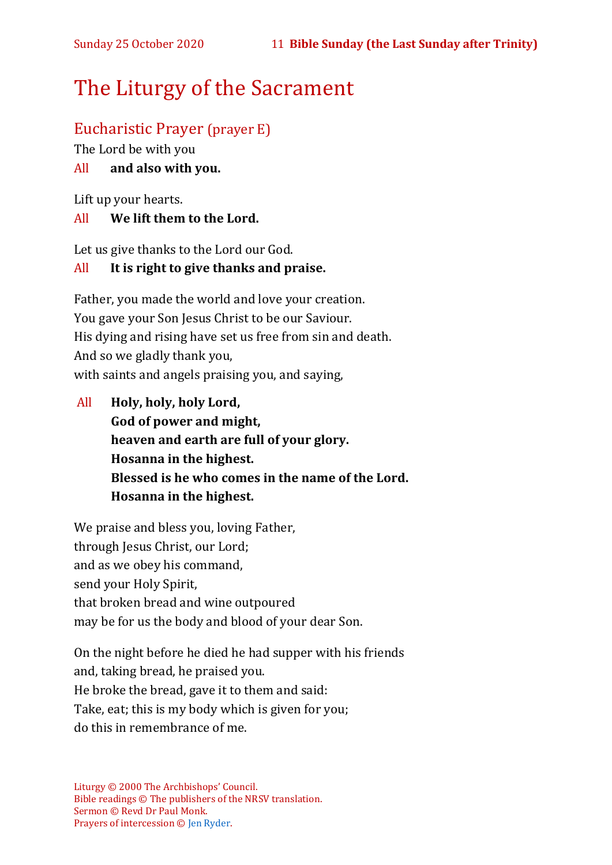# The Liturgy of the Sacrament

# Eucharistic Prayer (prayer E)

The Lord be with you

#### All **and also with you.**

Lift up your hearts.

#### All **We lift them to the Lord.**

Let us give thanks to the Lord our God.

#### All **It is right to give thanks and praise.**

Father, you made the world and love your creation. You gave your Son Jesus Christ to be our Saviour. His dying and rising have set us free from sin and death. And so we gladly thank you, with saints and angels praising you, and saying,

All **Holy, holy, holy Lord, God of power and might, heaven and earth are full of your glory. Hosanna in the highest. Blessed is he who comes in the name of the Lord. Hosanna in the highest.**

We praise and bless you, loving Father, through Jesus Christ, our Lord; and as we obey his command, send your Holy Spirit, that broken bread and wine outpoured may be for us the body and blood of your dear Son.

On the night before he died he had supper with his friends and, taking bread, he praised you. He broke the bread, gave it to them and said: Take, eat; this is my body which is given for you; do this in remembrance of me.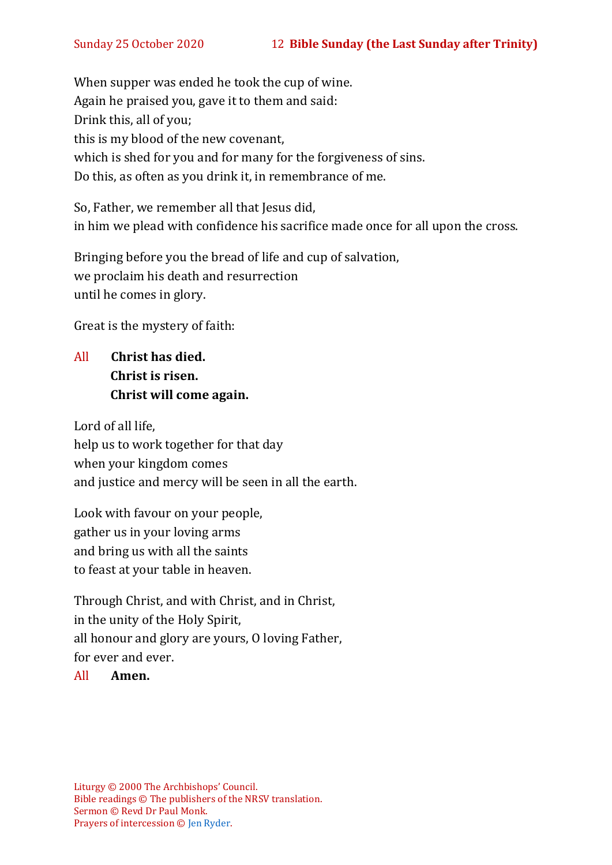When supper was ended he took the cup of wine. Again he praised you, gave it to them and said: Drink this, all of you; this is my blood of the new covenant, which is shed for you and for many for the forgiveness of sins. Do this, as often as you drink it, in remembrance of me.

So, Father, we remember all that Jesus did, in him we plead with confidence his sacrifice made once for all upon the cross.

Bringing before you the bread of life and cup of salvation, we proclaim his death and resurrection until he comes in glory.

Great is the mystery of faith:

All **Christ has died. Christ is risen. Christ will come again.**

Lord of all life, help us to work together for that day when your kingdom comes and justice and mercy will be seen in all the earth.

Look with favour on your people, gather us in your loving arms and bring us with all the saints to feast at your table in heaven.

Through Christ, and with Christ, and in Christ, in the unity of the Holy Spirit, all honour and glory are yours, O loving Father, for ever and ever.

#### All **Amen.**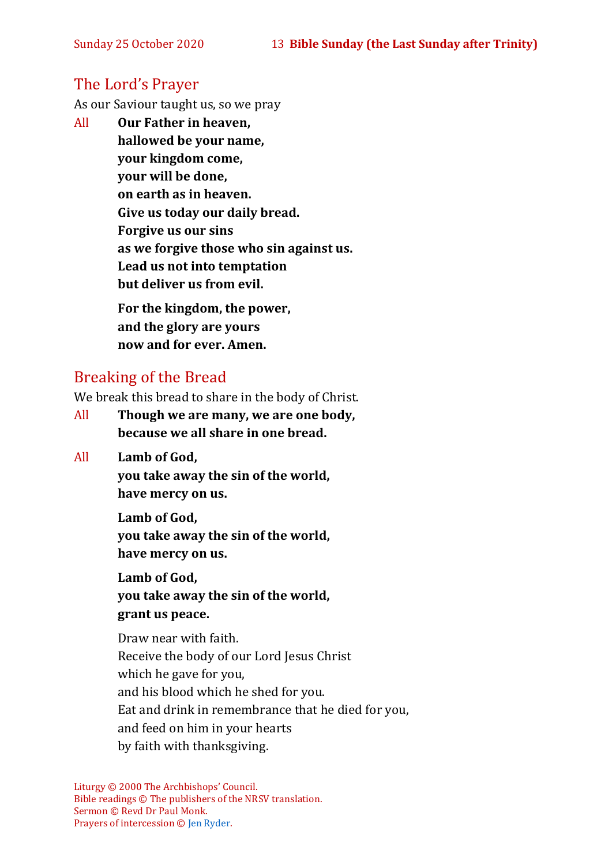## The Lord's Prayer

As our Saviour taught us, so we pray

All **Our Father in heaven, hallowed be your name, your kingdom come, your will be done, on earth as in heaven. Give us today our daily bread. Forgive us our sins as we forgive those who sin against us. Lead us not into temptation but deliver us from evil. For the kingdom, the power,** 

**and the glory are yours now and for ever. Amen.**

## Breaking of the Bread

We break this bread to share in the body of Christ.

- All **Though we are many, we are one body, because we all share in one bread.**
- All **Lamb of God,**

**you take away the sin of the world, have mercy on us.**

**Lamb of God, you take away the sin of the world, have mercy on us.**

**Lamb of God, you take away the sin of the world, grant us peace.**

Draw near with faith. Receive the body of our Lord Jesus Christ which he gave for you, and his blood which he shed for you. Eat and drink in remembrance that he died for you, and feed on him in your hearts by faith with thanksgiving.